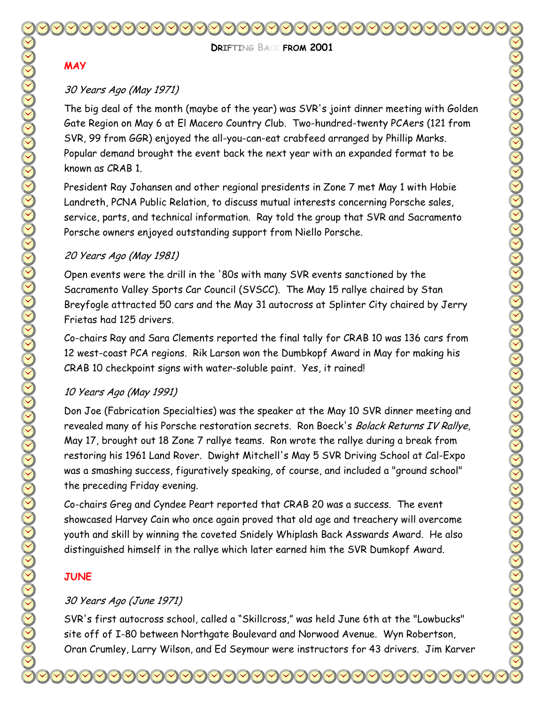**DRIFTING BACK FROM 2001** 

#### **MAY**

### 30 Years Ago (May 1971)

The big deal of the month (maybe of the year) was SVR's joint dinner meeting with Golden Gate Region on May 6 at El Macero Country Club. Two-hundred-twenty PCAers (121 from SVR, 99 from GGR) enjoyed the all-you-can-eat crabfeed arranged by Phillip Marks. Popular demand brought the event back the next year with an expanded format to be known as CRAB 1.

President Ray Johansen and other regional presidents in Zone 7 met May 1 with Hobie Landreth, PCNA Public Relation, to discuss mutual interests concerning Porsche sales, service, parts, and technical information. Ray told the group that SVR and Sacramento Porsche owners enjoyed outstanding support from Niello Porsche.

#### 20 Years Ago (May 1981)

Open events were the drill in the '80s with many SVR events sanctioned by the Sacramento Valley Sports Car Council (SVSCC). The May 15 rallye chaired by Stan Breyfogle attracted 50 cars and the May 31 autocross at Splinter City chaired by Jerry Frietas had 125 drivers.

Co-chairs Ray and Sara Clements reported the final tally for CRAB 10 was 136 cars from 12 west-coast PCA regions. Rik Larson won the Dumbkopf Award in May for making his CRAB 10 checkpoint signs with water-soluble paint. Yes, it rained!

### 10 Years Ago (May 1991)

Don Joe (Fabrication Specialties) was the speaker at the May 10 SVR dinner meeting and revealed many of his Porsche restoration secrets. Ron Boeck's Bolack Returns IV Rallye, May 17, brought out 18 Zone 7 rallye teams. Ron wrote the rallye during a break from restoring his 1961 Land Rover. Dwight Mitchell's May 5 SVR Driving School at Cal-Expo was a smashing success, figuratively speaking, of course, and included a "ground school" the preceding Friday evening.

Co-chairs Greg and Cyndee Peart reported that CRAB 20 was a success. The event showcased Harvey Cain who once again proved that old age and treachery will overcome youth and skill by winning the coveted Snidely Whiplash Back Asswards Award. He also distinguished himself in the rallye which later earned him the SVR Dumkopf Award.

## **JUNE**

## 30 Years Ago (June 1971)

SVR's first autocross school, called a "Skillcross," was held June 6th at the "Lowbucks" site off of I-80 between Northgate Boulevard and Norwood Avenue. Wyn Robertson, Oran Crumley, Larry Wilson, and Ed Seymour were instructors for 43 drivers. Jim Karver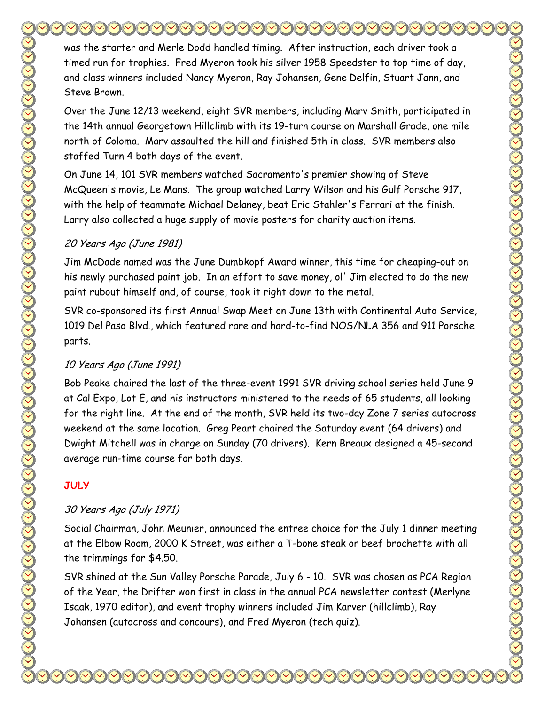was the starter and Merle Dodd handled timing. After instruction, each driver took a timed run for trophies. Fred Myeron took his silver 1958 Speedster to top time of day, and class winners included Nancy Myeron, Ray Johansen, Gene Delfin, Stuart Jann, and Steve Brown.

Over the June 12/13 weekend, eight SVR members, including Marv Smith, participated in the 14th annual Georgetown Hillclimb with its 19-turn course on Marshall Grade, one mile north of Coloma. Marv assaulted the hill and finished 5th in class. SVR members also staffed Turn 4 both days of the event.

On June 14, 101 SVR members watched Sacramento's premier showing of Steve McQueen's movie, Le Mans. The group watched Larry Wilson and his Gulf Porsche 917, with the help of teammate Michael Delaney, beat Eric Stahler's Ferrari at the finish. Larry also collected a huge supply of movie posters for charity auction items.

## 20 Years Ago (June 1981)

Jim McDade named was the June Dumbkopf Award winner, this time for cheaping-out on his newly purchased paint job. In an effort to save money, ol' Jim elected to do the new paint rubout himself and, of course, took it right down to the metal.

SVR co-sponsored its first Annual Swap Meet on June 13th with Continental Auto Service, 1019 Del Paso Blvd., which featured rare and hard-to-find NOS/NLA 356 and 911 Porsche parts.

## 10 Years Ago (June 1991)

Bob Peake chaired the last of the three-event 1991 SVR driving school series held June 9 at Cal Expo, Lot E, and his instructors ministered to the needs of 65 students, all looking for the right line. At the end of the month, SVR held its two-day Zone 7 series autocross weekend at the same location. Greg Peart chaired the Saturday event (64 drivers) and Dwight Mitchell was in charge on Sunday (70 drivers). Kern Breaux designed a 45-second average run-time course for both days.

## **JULY**

## 30 Years Ago (July 1971)

Social Chairman, John Meunier, announced the entree choice for the July 1 dinner meeting at the Elbow Room, 2000 K Street, was either a T-bone steak or beef brochette with all the trimmings for \$4.50.

SVR shined at the Sun Valley Porsche Parade, July 6 - 10. SVR was chosen as PCA Region of the Year, the Drifter won first in class in the annual PCA newsletter contest (Merlyne Isaak, 1970 editor), and event trophy winners included Jim Karver (hillclimb), Ray Johansen (autocross and concours), and Fred Myeron (tech quiz).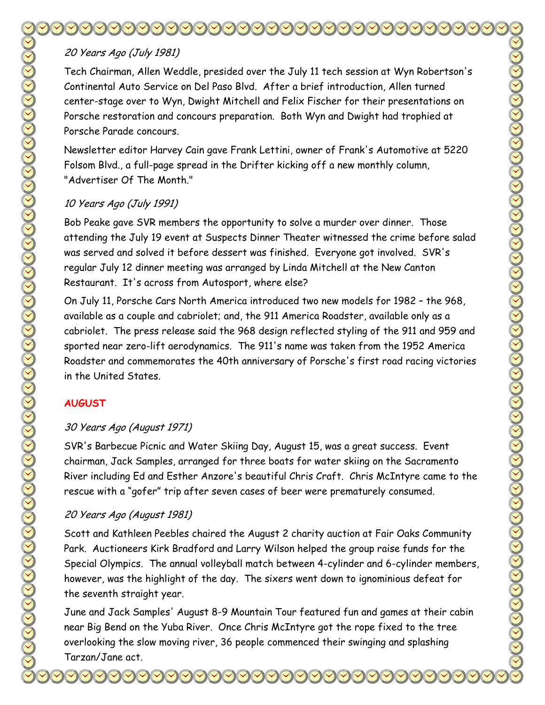# 20 Years Ago (July 1981)

Tech Chairman, Allen Weddle, presided over the July 11 tech session at Wyn Robertson's Continental Auto Service on Del Paso Blvd. After a brief introduction, Allen turned center-stage over to Wyn, Dwight Mitchell and Felix Fischer for their presentations on Porsche restoration and concours preparation. Both Wyn and Dwight had trophied at Porsche Parade concours.

Newsletter editor Harvey Cain gave Frank Lettini, owner of Frank's Automotive at 5220 Folsom Blvd., a full-page spread in the Drifter kicking off a new monthly column, "Advertiser Of The Month."

#### 10 Years Ago (July 1991)

Bob Peake gave SVR members the opportunity to solve a murder over dinner. Those attending the July 19 event at Suspects Dinner Theater witnessed the crime before salad was served and solved it before dessert was finished. Everyone got involved. SVR's regular July 12 dinner meeting was arranged by Linda Mitchell at the New Canton Restaurant. It's across from Autosport, where else?

On July 11, Porsche Cars North America introduced two new models for 1982 – the 968, available as a couple and cabriolet; and, the 911 America Roadster, available only as a cabriolet. The press release said the 968 design reflected styling of the 911 and 959 and sported near zero-lift aerodynamics. The 911's name was taken from the 1952 America Roadster and commemorates the 40th anniversary of Porsche's first road racing victories in the United States.

### **AUGUST**

### 30 Years Ago (August 1971)

SVR's Barbecue Picnic and Water Skiing Day, August 15, was a great success. Event chairman, Jack Samples, arranged for three boats for water skiing on the Sacramento River including Ed and Esther Anzore's beautiful Chris Craft. Chris McIntyre came to the rescue with a "gofer" trip after seven cases of beer were prematurely consumed.

## 20 Years Ago (August 1981)

Scott and Kathleen Peebles chaired the August 2 charity auction at Fair Oaks Community Park. Auctioneers Kirk Bradford and Larry Wilson helped the group raise funds for the Special Olympics. The annual volleyball match between 4-cylinder and 6-cylinder members, however, was the highlight of the day. The sixers went down to ignominious defeat for the seventh straight year.

June and Jack Samples' August 8-9 Mountain Tour featured fun and games at their cabin near Big Bend on the Yuba River. Once Chris McIntyre got the rope fixed to the tree overlooking the slow moving river, 36 people commenced their swinging and splashing Tarzan/Jane act.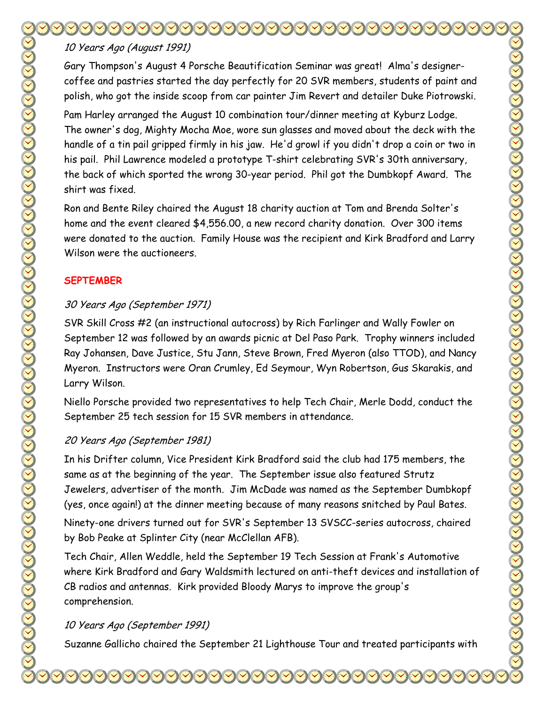# 10 Years Ago (August 1991)

Gary Thompson's August 4 Porsche Beautification Seminar was great! Alma's designercoffee and pastries started the day perfectly for 20 SVR members, students of paint and polish, who got the inside scoop from car painter Jim Revert and detailer Duke Piotrowski.

Pam Harley arranged the August 10 combination tour/dinner meeting at Kyburz Lodge. The owner's dog, Mighty Mocha Moe, wore sun glasses and moved about the deck with the handle of a tin pail gripped firmly in his jaw. He'd growl if you didn't drop a coin or two in his pail. Phil Lawrence modeled a prototype T-shirt celebrating SVR's 30th anniversary, the back of which sported the wrong 30-year period. Phil got the Dumbkopf Award. The shirt was fixed.

Ron and Bente Riley chaired the August 18 charity auction at Tom and Brenda Solter's home and the event cleared \$4,556.00, a new record charity donation. Over 300 items were donated to the auction. Family House was the recipient and Kirk Bradford and Larry Wilson were the auctioneers.

#### **SEPTEMBER**

### 30 Years Ago (September 1971)

SVR Skill Cross #2 (an instructional autocross) by Rich Farlinger and Wally Fowler on September 12 was followed by an awards picnic at Del Paso Park. Trophy winners included Ray Johansen, Dave Justice, Stu Jann, Steve Brown, Fred Myeron (also TTOD), and Nancy Myeron. Instructors were Oran Crumley, Ed Seymour, Wyn Robertson, Gus Skarakis, and Larry Wilson.

Niello Porsche provided two representatives to help Tech Chair, Merle Dodd, conduct the September 25 tech session for 15 SVR members in attendance.

### 20 Years Ago (September 1981)

In his Drifter column, Vice President Kirk Bradford said the club had 175 members, the same as at the beginning of the year. The September issue also featured Strutz Jewelers, advertiser of the month. Jim McDade was named as the September Dumbkopf (yes, once again!) at the dinner meeting because of many reasons snitched by Paul Bates.

Ninety-one drivers turned out for SVR's September 13 SVSCC-series autocross, chaired by Bob Peake at Splinter City (near McClellan AFB).

Tech Chair, Allen Weddle, held the September 19 Tech Session at Frank's Automotive where Kirk Bradford and Gary Waldsmith lectured on anti-theft devices and installation of CB radios and antennas. Kirk provided Bloody Marys to improve the group's comprehension.

### 10 Years Ago (September 1991)

Suzanne Gallicho chaired the September 21 Lighthouse Tour and treated participants with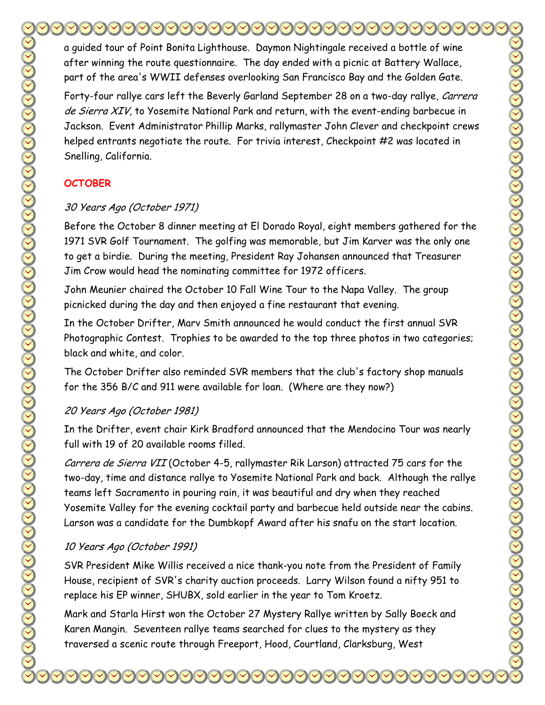a guided tour of Point Bonita Lighthouse. Daymon Nightingale received a bottle of wine after winning the route questionnaire. The day ended with a picnic at Battery Wallace, part of the area's WWII defenses overlooking San Francisco Bay and the Golden Gate.

Forty-four rallye cars left the Beverly Garland September 28 on a two-day rallye, Carrera de Sierra XIV, to Yosemite National Park and return, with the event-ending barbecue in Jackson. Event Administrator Phillip Marks, rallymaster John Clever and checkpoint crews helped entrants negotiate the route. For trivia interest, Checkpoint #2 was located in Snelling, California.

# **OCTOBER**

# 30 Years Ago (October 1971)

Before the October 8 dinner meeting at El Dorado Royal, eight members gathered for the 1971 SVR Golf Tournament. The golfing was memorable, but Jim Karver was the only one to get a birdie. During the meeting, President Ray Johansen announced that Treasurer Jim Crow would head the nominating committee for 1972 officers.

John Meunier chaired the October 10 Fall Wine Tour to the Napa Valley. The group picnicked during the day and then enjoyed a fine restaurant that evening.

In the October Drifter, Marv Smith announced he would conduct the first annual SVR Photographic Contest. Trophies to be awarded to the top three photos in two categories; black and white, and color.

The October Drifter also reminded SVR members that the club's factory shop manuals for the 356 B/C and 911 were available for loan. (Where are they now?)

# 20 Years Ago (October 1981)

In the Drifter, event chair Kirk Bradford announced that the Mendocino Tour was nearly full with 19 of 20 available rooms filled.

Carrera de Sierra VII (October 4-5, rallymaster Rik Larson) attracted 75 cars for the two-day, time and distance rallye to Yosemite National Park and back. Although the rallye teams left Sacramento in pouring rain, it was beautiful and dry when they reached Yosemite Valley for the evening cocktail party and barbecue held outside near the cabins. Larson was a candidate for the Dumbkopf Award after his snafu on the start location.

# 10 Years Ago (October 1991)

SVR President Mike Willis received a nice thank-you note from the President of Family House, recipient of SVR's charity auction proceeds. Larry Wilson found a nifty 951 to replace his EP winner, SHUBX, sold earlier in the year to Tom Kroetz.

Mark and Starla Hirst won the October 27 Mystery Rallye written by Sally Boeck and Karen Mangin. Seventeen rallye teams searched for clues to the mystery as they traversed a scenic route through Freeport, Hood, Courtland, Clarksburg, West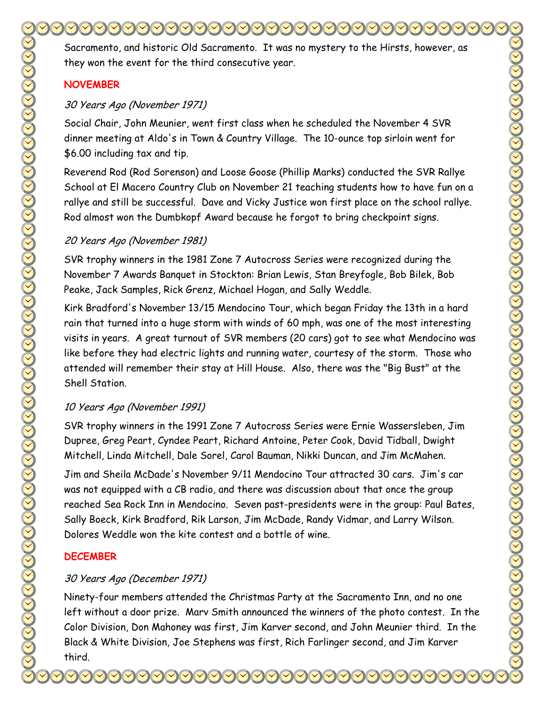Sacramento, and historic Old Sacramento. It was no mystery to the Hirsts, however, as they won the event for the third consecutive year.

#### **NOVEMBER**

#### 30 Years Ago (November 1971)

Social Chair, John Meunier, went first class when he scheduled the November 4 SVR dinner meeting at Aldo's in Town & Country Village. The 10-ounce top sirloin went for \$6.00 including tax and tip.

Reverend Rod (Rod Sorenson) and Loose Goose (Phillip Marks) conducted the SVR Rallye School at El Macero Country Club on November 21 teaching students how to have fun on a rallye and still be successful. Dave and Vicky Justice won first place on the school rallye. Rod almost won the Dumbkopf Award because he forgot to bring checkpoint signs.

#### 20 Years Ago (November 1981)

SVR trophy winners in the 1981 Zone 7 Autocross Series were recognized during the November 7 Awards Banquet in Stockton: Brian Lewis, Stan Breyfogle, Bob Bilek, Bob Peake, Jack Samples, Rick Grenz, Michael Hogan, and Sally Weddle.

Kirk Bradford's November 13/15 Mendocino Tour, which began Friday the 13th in a hard rain that turned into a huge storm with winds of 60 mph, was one of the most interesting visits in years. A great turnout of SVR members (20 cars) got to see what Mendocino was like before they had electric lights and running water, courtesy of the storm. Those who attended will remember their stay at Hill House. Also, there was the "Big Bust" at the Shell Station.

### 10 Years Ago (November 1991)

SVR trophy winners in the 1991 Zone 7 Autocross Series were Ernie Wassersleben, Jim Dupree, Greg Peart, Cyndee Peart, Richard Antoine, Peter Cook, David Tidball, Dwight Mitchell, Linda Mitchell, Dale Sorel, Carol Bauman, Nikki Duncan, and Jim McMahen.

Jim and Sheila McDade's November 9/11 Mendocino Tour attracted 30 cars. Jim's car was not equipped with a CB radio, and there was discussion about that once the group reached Sea Rock Inn in Mendocino. Seven past-presidents were in the group: Paul Bates, Sally Boeck, Kirk Bradford, Rik Larson, Jim McDade, Randy Vidmar, and Larry Wilson. Dolores Weddle won the kite contest and a bottle of wine.

### **DECEMBER**

### 30 Years Ago (December 1971)

Ninety-four members attended the Christmas Party at the Sacramento Inn, and no one left without a door prize. Marv Smith announced the winners of the photo contest. In the Color Division, Don Mahoney was first, Jim Karver second, and John Meunier third. In the Black & White Division, Joe Stephens was first, Rich Farlinger second, and Jim Karver third.